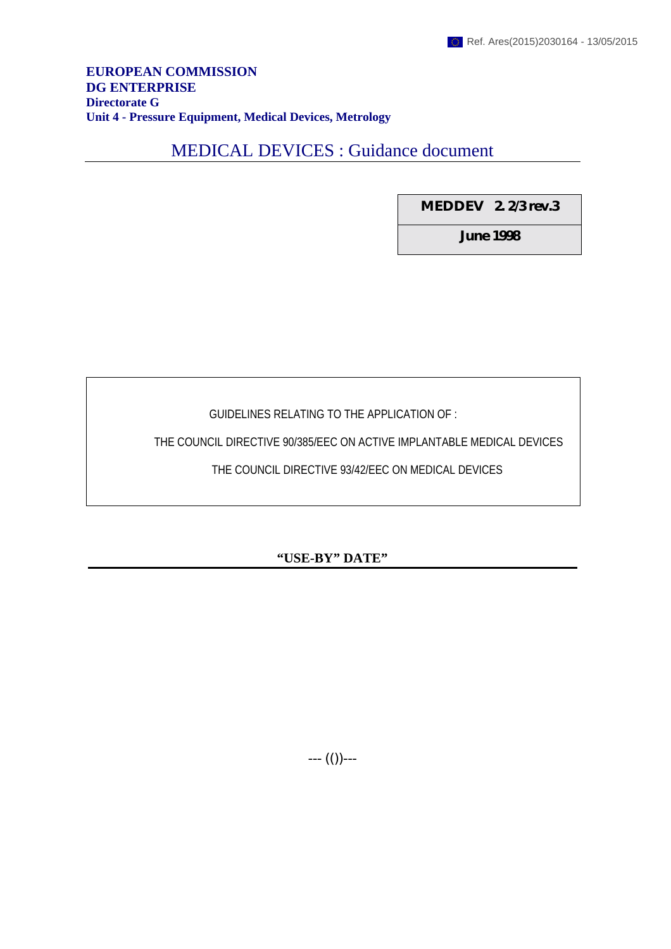#### **EUROPEAN COMMISSION DG ENTERPRISE Directorate G Unit 4 - Pressure Equipment, Medical Devices, Metrology**

# MEDICAL DEVICES : Guidance document

**MEDDEV 2. 2/3 rev.3**

**June 1998**

GUIDELINES RELATING TO THE APPLICATION OF :

THE COUNCIL DIRECTIVE 90/385/EEC ON ACTIVE IMPLANTABLE MEDICAL DEVICES

THE COUNCIL DIRECTIVE 93/42/EEC ON MEDICAL DEVICES

# **"USE-BY" DATE"**

--- (())---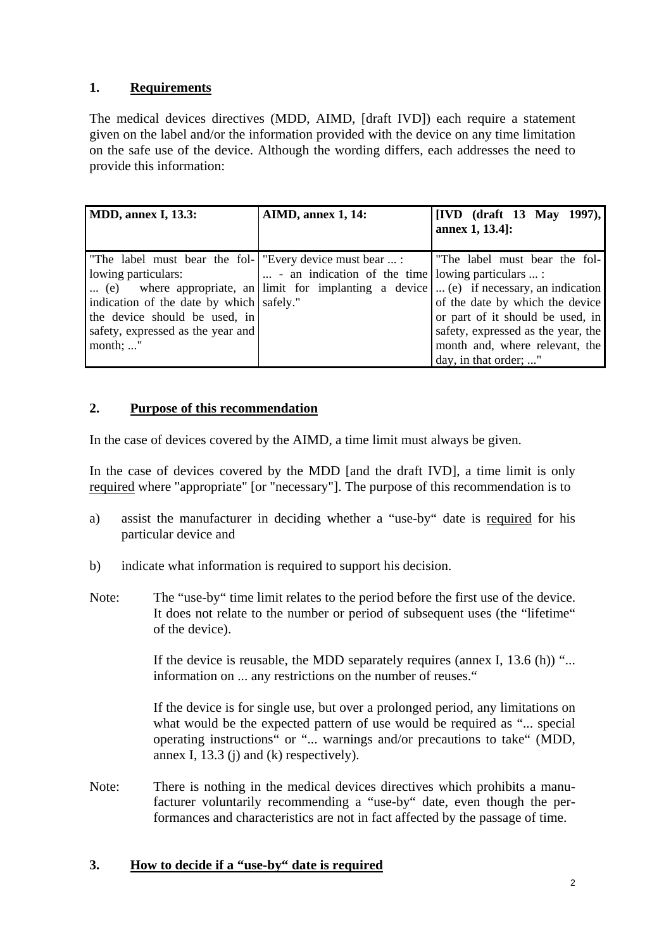### **1. Requirements**

The medical devices directives (MDD, AIMD, [draft IVD]) each require a statement given on the label and/or the information provided with the device on any time limitation on the safe use of the device. Although the wording differs, each addresses the need to provide this information:

| <b>MDD</b> , annex I, 13.3:                                                                                                                                                                                           | <b>AIMD, annex 1, 14:</b>                                          | $[IVD \text{ (draff 13 May 1997)},]$<br>annex 1, 13.4]:                                                                                                                                                                                                                                          |
|-----------------------------------------------------------------------------------------------------------------------------------------------------------------------------------------------------------------------|--------------------------------------------------------------------|--------------------------------------------------------------------------------------------------------------------------------------------------------------------------------------------------------------------------------------------------------------------------------------------------|
| "The label must bear the fol- "Every device must bear  :<br>lowing particulars:<br>indication of the date by which safely."<br>the device should be used, in<br>safety, expressed as the year and<br>month; $\dots$ " | $\vert \dots \vert$ an indication of the time lowing particulars : | The label must bear the fol-<br>(e) where appropriate, an limit for implanting a device  (e) if necessary, an indication<br>of the date by which the device<br>or part of it should be used, in<br>safety, expressed as the year, the<br>month and, where relevant, the<br>day, in that order; " |

### **2. Purpose of this recommendation**

In the case of devices covered by the AIMD, a time limit must always be given.

In the case of devices covered by the MDD [and the draft IVD], a time limit is only required where "appropriate" [or "necessary"]. The purpose of this recommendation is to

- a) assist the manufacturer in deciding whether a "use-by" date is required for his particular device and
- b) indicate what information is required to support his decision.
- Note: The "use-by" time limit relates to the period before the first use of the device. It does not relate to the number or period of subsequent uses (the "lifetime" of the device).

If the device is reusable, the MDD separately requires (annex I,  $13.6$  (h)) "... information on ... any restrictions on the number of reuses."

If the device is for single use, but over a prolonged period, any limitations on what would be the expected pattern of use would be required as "... special operating instructions" or "... warnings and/or precautions to take" (MDD, annex I, 13.3 (j) and (k) respectively).

Note: There is nothing in the medical devices directives which prohibits a manufacturer voluntarily recommending a "use-by" date, even though the performances and characteristics are not in fact affected by the passage of time.

#### **3. How to decide if a "use-by" date is required**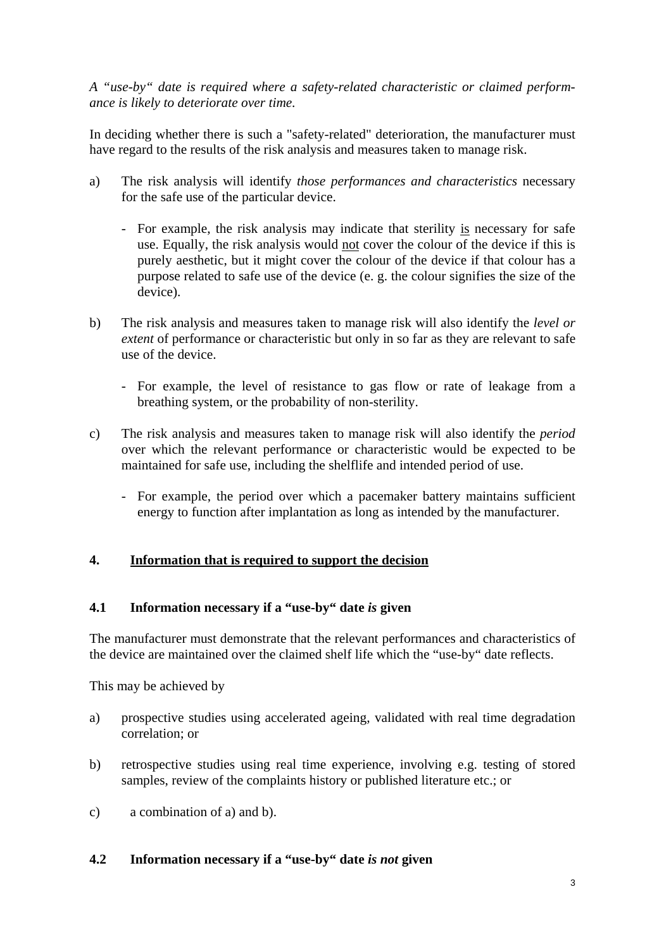*A "use-by" date is required where a safety-related characteristic or claimed performance is likely to deteriorate over time.*

In deciding whether there is such a "safety-related" deterioration, the manufacturer must have regard to the results of the risk analysis and measures taken to manage risk.

- a) The risk analysis will identify *those performances and characteristics* necessary for the safe use of the particular device.
	- For example, the risk analysis may indicate that sterility is necessary for safe use. Equally, the risk analysis would not cover the colour of the device if this is purely aesthetic, but it might cover the colour of the device if that colour has a purpose related to safe use of the device (e. g. the colour signifies the size of the device).
- b) The risk analysis and measures taken to manage risk will also identify the *level or extent* of performance or characteristic but only in so far as they are relevant to safe use of the device.
	- For example, the level of resistance to gas flow or rate of leakage from a breathing system, or the probability of non-sterility.
- c) The risk analysis and measures taken to manage risk will also identify the *period* over which the relevant performance or characteristic would be expected to be maintained for safe use, including the shelflife and intended period of use.
	- For example, the period over which a pacemaker battery maintains sufficient energy to function after implantation as long as intended by the manufacturer.

# **4. Information that is required to support the decision**

#### **4.1 Information necessary if a "use-by" date** *is* **given**

The manufacturer must demonstrate that the relevant performances and characteristics of the device are maintained over the claimed shelf life which the "use-by" date reflects.

This may be achieved by

- a) prospective studies using accelerated ageing, validated with real time degradation correlation; or
- b) retrospective studies using real time experience, involving e.g. testing of stored samples, review of the complaints history or published literature etc.; or
- c) a combination of a) and b).

#### **4.2 Information necessary if a "use-by" date** *is not* **given**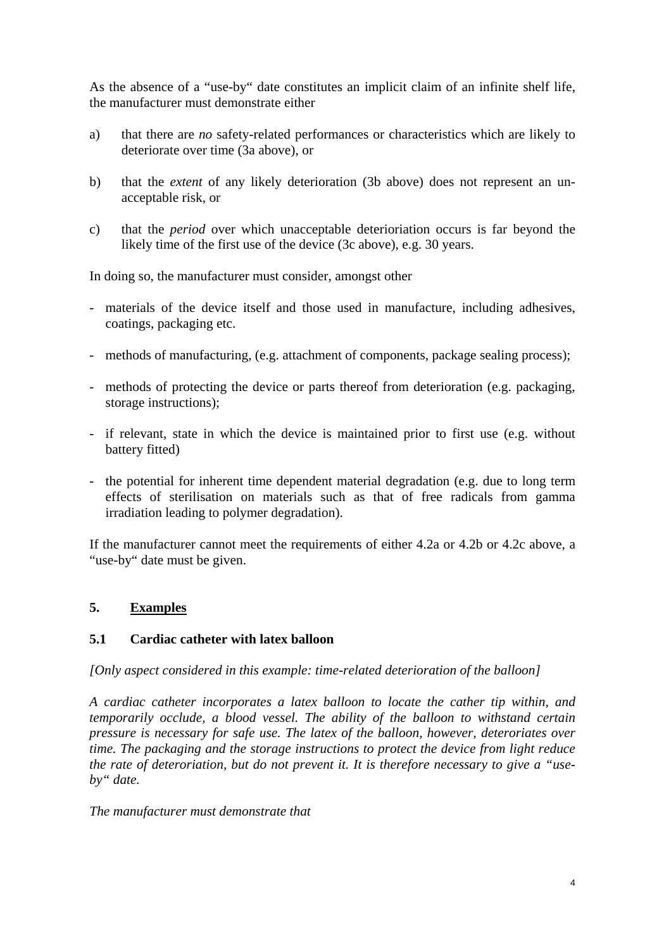As the absence of a "use-by" date constitutes an implicit claim of an infinite shelf life, the manufacturer must demonstrate either

- a) that there are *no* safety-related performances or characteristics which are likely to deteriorate over time (3a above), or
- b) that the *extent* of any likely deterioration (3b above) does not represent an unacceptable risk, or
- c) that the *period* over which unacceptable deterioriation occurs is far beyond the likely time of the first use of the device (3c above), e.g. 30 years.

In doing so, the manufacturer must consider, amongst other

- materials of the device itself and those used in manufacture, including adhesives, coatings, packaging etc.
- methods of manufacturing, (e.g. attachment of components, package sealing process);
- methods of protecting the device or parts thereof from deterioration (e.g. packaging, storage instructions);
- if relevant, state in which the device is maintained prior to first use (e.g. without battery fitted)
- the potential for inherent time dependent material degradation (e.g. due to long term effects of sterilisation on materials such as that of free radicals from gamma irradiation leading to polymer degradation).

If the manufacturer cannot meet the requirements of either 4.2a or 4.2b or 4.2c above, a "use-by" date must be given.

#### **5. Examples**

#### **5.1 Cardiac catheter with latex balloon**

*[Only aspect considered in this example: time-related deterioration of the balloon]*

*A cardiac catheter incorporates a latex balloon to locate the cather tip within, and temporarily occlude, a blood vessel. The ability of the balloon to withstand certain pressure is necessary for safe use. The latex of the balloon, however, deteroriates over time. The packaging and the storage instructions to protect the device from light reduce the rate of deteroriation, but do not prevent it. It is therefore necessary to give a "useby" date.*

*The manufacturer must demonstrate that*